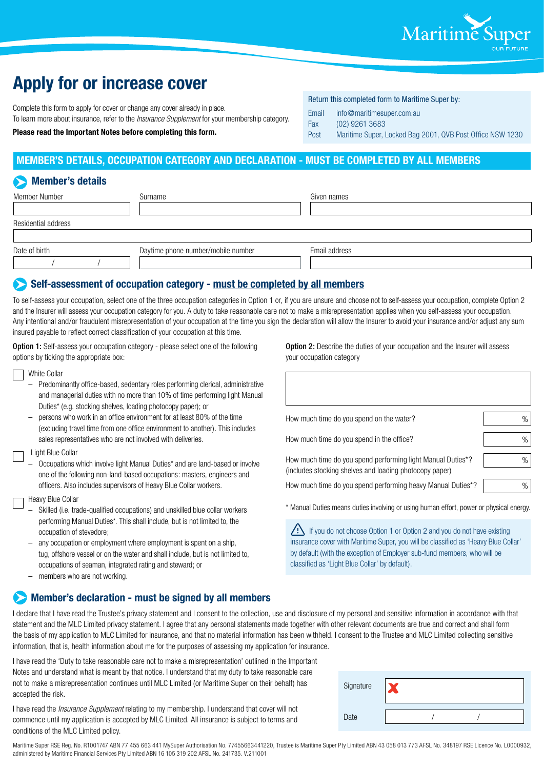

# **Apply for or increase cover**

Complete this form to apply for cover or change any cover already in place. To learn more about insurance, refer to the *Insurance Supplement* for your membership category.

#### **Please read the Important Notes before completing this form.**

Return this completed form to Maritime Super by:

- Email info@maritimesuper.com.au
- Fax (02) 9261 3683
- Post Maritime Super, Locked Bag 2001, QVB Post Office NSW 1230

# **MEMBER'S DETAILS, OCCUPATION CATEGORY AND DECLARATION - MUST BE COMPLETED BY ALL MEMBERS**

# **Member's details**

| Member Number       | Surname                            | Given names   |  |  |  |
|---------------------|------------------------------------|---------------|--|--|--|
|                     |                                    |               |  |  |  |
| Residential address |                                    |               |  |  |  |
|                     |                                    |               |  |  |  |
| Date of birth       | Daytime phone number/mobile number | Email address |  |  |  |
|                     |                                    |               |  |  |  |

# **Self-assessment of occupation category - must be completed by all members**

To self-assess your occupation, select one of the three occupation categories in Option 1 or, if you are unsure and choose not to self-assess your occupation, complete Option 2 and the Insurer will assess your occupation category for you. A duty to take reasonable care not to make a misrepresentation applies when you self-assess your occupation. Any intentional and/or fraudulent misrepresentation of your occupation at the time you sign the declaration will allow the Insurer to avoid your insurance and/or adjust any sum insured payable to reflect correct classification of your occupation at this time.

Option 1: Self-assess your occupation category - please select one of the following options by ticking the appropriate box:

- White Collar
- Predominantly office-based, sedentary roles performing clerical, administrative and managerial duties with no more than 10% of time performing light Manual Duties\* (e.g. stocking shelves, loading photocopy paper); or
- persons who work in an office environment for at least 80% of the time (excluding travel time from one office environment to another). This includes sales representatives who are not involved with deliveries.
- Light Blue Collar
- Occupations which involve light Manual Duties\* and are land-based or involve one of the following non-land-based occupations: masters, engineers and officers. Also includes supervisors of Heavy Blue Collar workers.
- Heavy Blue Collar
	- Skilled (i.e. trade-qualified occupations) and unskilled blue collar workers performing Manual Duties\*. This shall include, but is not limited to, the occupation of stevedore;
	- any occupation or employment where employment is spent on a ship, tug, offshore vessel or on the water and shall include, but is not limited to, occupations of seaman, integrated rating and steward; or
	- members who are not working.

# **Member's declaration - must be signed by all members**

**Option 2:** Describe the duties of your occupation and the Insurer will assess your occupation category

| How much time do you spend on the water?                                                                               | $\%$ |
|------------------------------------------------------------------------------------------------------------------------|------|
| How much time do you spend in the office?                                                                              | $\%$ |
| How much time do you spend performing light Manual Duties*?<br>(includes stocking shelves and loading photocopy paper) | $\%$ |
| How much time do you spend performing heavy Manual Duties <sup>*</sup> ?                                               | $\%$ |
| * Manual Duties means duties involving or using human effort, power or physical energy.                                |      |

 $\sqrt{N}$  If you do not choose Option 1 or Option 2 and you do not have existing insurance cover with Maritime Super, you will be classified as 'Heavy Blue Collar' by default (with the exception of Employer sub-fund members, who will be classified as 'Light Blue Collar' by default).

I declare that I have read the Trustee's privacy statement and I consent to the collection, use and disclosure of my personal and sensitive information in accordance with that statement and the MLC Limited privacy statement. I agree that any personal statements made together with other relevant documents are true and correct and shall form the basis of my application to MLC Limited for insurance, and that no material information has been withheld. I consent to the Trustee and MLC Limited collecting sensitive information, that is, health information about me for the purposes of assessing my application for insurance.

I have read the 'Duty to take reasonable care not to make a misrepresentation' outlined in the Important Notes and understand what is meant by that notice. I understand that my duty to take reasonable care not to make a misrepresentation continues until MLC Limited (or Maritime Super on their behalf) has accepted the risk.

I have read the *Insurance Supplement* relating to my membership. I understand that cover will not commence until my application is accepted by MLC Limited. All insurance is subject to terms and conditions of the MLC Limited policy.

| Signature |  |  |
|-----------|--|--|
| Date      |  |  |

Maritime Super RSE Reg. No. R1001747 ABN 77 455 663 441 MySuper Authorisation No. 77455663441220, Trustee is Maritime Super Pty Limited ABN 43 058 013 773 AFSL No. 348197 RSE Licence No. L0000932, administered by Maritime Financial Services Pty Limited ABN 16 105 319 202 AFSL No. 241735. V.211001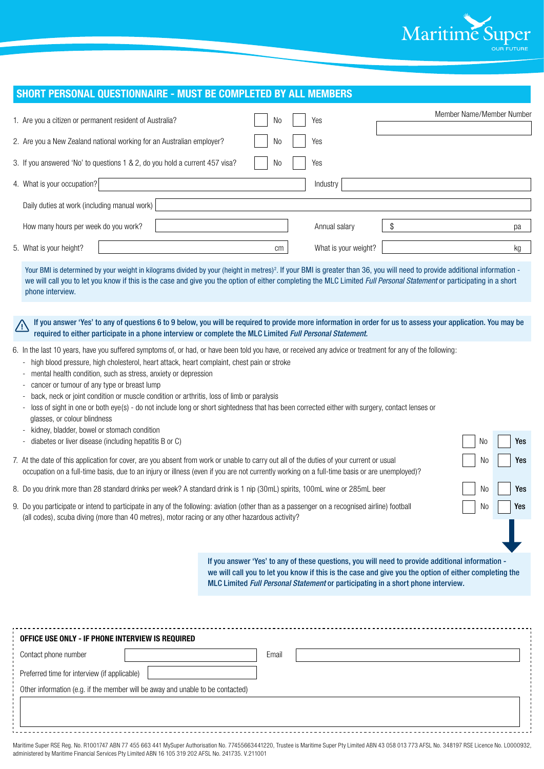

|                                                                                                                                                                                                                                                                                                                                                                                                                                                                                                                                                                                                                                                                                                                                                                              | SHORT PERSONAL QUESTIONNAIRE - MUST BE COMPLETED BY ALL MEMBERS                                                                                                                                                                                                                                                                                                                     |  |  |  |  |  |  |
|------------------------------------------------------------------------------------------------------------------------------------------------------------------------------------------------------------------------------------------------------------------------------------------------------------------------------------------------------------------------------------------------------------------------------------------------------------------------------------------------------------------------------------------------------------------------------------------------------------------------------------------------------------------------------------------------------------------------------------------------------------------------------|-------------------------------------------------------------------------------------------------------------------------------------------------------------------------------------------------------------------------------------------------------------------------------------------------------------------------------------------------------------------------------------|--|--|--|--|--|--|
|                                                                                                                                                                                                                                                                                                                                                                                                                                                                                                                                                                                                                                                                                                                                                                              | Member Name/Member Number<br>1. Are you a citizen or permanent resident of Australia?<br>Yes<br>No                                                                                                                                                                                                                                                                                  |  |  |  |  |  |  |
|                                                                                                                                                                                                                                                                                                                                                                                                                                                                                                                                                                                                                                                                                                                                                                              | 2. Are you a New Zealand national working for an Australian employer?<br>Yes<br>No                                                                                                                                                                                                                                                                                                  |  |  |  |  |  |  |
|                                                                                                                                                                                                                                                                                                                                                                                                                                                                                                                                                                                                                                                                                                                                                                              | 3. If you answered 'No' to questions 1 & 2, do you hold a current 457 visa?<br>Yes<br>No                                                                                                                                                                                                                                                                                            |  |  |  |  |  |  |
|                                                                                                                                                                                                                                                                                                                                                                                                                                                                                                                                                                                                                                                                                                                                                                              | 4. What is your occupation?<br>Industry                                                                                                                                                                                                                                                                                                                                             |  |  |  |  |  |  |
|                                                                                                                                                                                                                                                                                                                                                                                                                                                                                                                                                                                                                                                                                                                                                                              | Daily duties at work (including manual work)                                                                                                                                                                                                                                                                                                                                        |  |  |  |  |  |  |
|                                                                                                                                                                                                                                                                                                                                                                                                                                                                                                                                                                                                                                                                                                                                                                              | \$<br>How many hours per week do you work?<br>Annual salary<br>pа                                                                                                                                                                                                                                                                                                                   |  |  |  |  |  |  |
|                                                                                                                                                                                                                                                                                                                                                                                                                                                                                                                                                                                                                                                                                                                                                                              | 5. What is your height?<br>What is your weight?<br>kg<br>cm                                                                                                                                                                                                                                                                                                                         |  |  |  |  |  |  |
|                                                                                                                                                                                                                                                                                                                                                                                                                                                                                                                                                                                                                                                                                                                                                                              | Your BMI is determined by your weight in kilograms divided by your (height in metres) <sup>2</sup> . If your BMI is greater than 36, you will need to provide additional information -<br>we will call you to let you know if this is the case and give you the option of either completing the MLC Limited Full Personal Statement or participating in a short<br>phone interview. |  |  |  |  |  |  |
| <u>/!</u>                                                                                                                                                                                                                                                                                                                                                                                                                                                                                                                                                                                                                                                                                                                                                                    | If you answer 'Yes' to any of questions 6 to 9 below, you will be required to provide more information in order for us to assess your application. You may be<br>required to either participate in a phone interview or complete the MLC Limited Full Personal Statement.                                                                                                           |  |  |  |  |  |  |
| 6. In the last 10 years, have you suffered symptoms of, or had, or have been told you have, or received any advice or treatment for any of the following:<br>high blood pressure, high cholesterol, heart attack, heart complaint, chest pain or stroke<br>mental health condition, such as stress, anxiety or depression<br>cancer or tumour of any type or breast lump<br>back, neck or joint condition or muscle condition or arthritis, loss of limb or paralysis<br>loss of sight in one or both eye(s) - do not include long or short sightedness that has been corrected either with surgery, contact lenses or<br>glasses, or colour blindness<br>kidney, bladder, bowel or stomach condition<br>diabetes or liver disease (including hepatitis B or C)<br>Yes<br>No |                                                                                                                                                                                                                                                                                                                                                                                     |  |  |  |  |  |  |
|                                                                                                                                                                                                                                                                                                                                                                                                                                                                                                                                                                                                                                                                                                                                                                              | 7. At the date of this application for cover, are you absent from work or unable to carry out all of the duties of your current or usual<br>Yes<br>No<br>occupation on a full-time basis, due to an injury or illness (even if you are not currently working on a full-time basis or are unemployed)?                                                                               |  |  |  |  |  |  |
|                                                                                                                                                                                                                                                                                                                                                                                                                                                                                                                                                                                                                                                                                                                                                                              | 8. Do you drink more than 28 standard drinks per week? A standard drink is 1 nip (30mL) spirits, 100mL wine or 285mL beer<br>No<br>Yes                                                                                                                                                                                                                                              |  |  |  |  |  |  |
|                                                                                                                                                                                                                                                                                                                                                                                                                                                                                                                                                                                                                                                                                                                                                                              | 9. Do you participate or intend to participate in any of the following: aviation (other than as a passenger on a recognised airline) football<br>Yes<br>No<br>(all codes), scuba diving (more than 40 metres), motor racing or any other hazardous activity?                                                                                                                        |  |  |  |  |  |  |
|                                                                                                                                                                                                                                                                                                                                                                                                                                                                                                                                                                                                                                                                                                                                                                              |                                                                                                                                                                                                                                                                                                                                                                                     |  |  |  |  |  |  |
|                                                                                                                                                                                                                                                                                                                                                                                                                                                                                                                                                                                                                                                                                                                                                                              | If you answer 'Yes' to any of these questions, you will need to provide additional information -<br>we will call you to let you know if this is the case and give you the option of either completing the<br>MLC Limited Full Personal Statement or participating in a short phone interview.                                                                                       |  |  |  |  |  |  |
|                                                                                                                                                                                                                                                                                                                                                                                                                                                                                                                                                                                                                                                                                                                                                                              |                                                                                                                                                                                                                                                                                                                                                                                     |  |  |  |  |  |  |
|                                                                                                                                                                                                                                                                                                                                                                                                                                                                                                                                                                                                                                                                                                                                                                              | OFFICE USE ONLY - IF PHONE INTERVIEW IS REQUIRED                                                                                                                                                                                                                                                                                                                                    |  |  |  |  |  |  |
|                                                                                                                                                                                                                                                                                                                                                                                                                                                                                                                                                                                                                                                                                                                                                                              | Contact phone number<br>Email                                                                                                                                                                                                                                                                                                                                                       |  |  |  |  |  |  |
|                                                                                                                                                                                                                                                                                                                                                                                                                                                                                                                                                                                                                                                                                                                                                                              | Preferred time for interview (if applicable)                                                                                                                                                                                                                                                                                                                                        |  |  |  |  |  |  |
|                                                                                                                                                                                                                                                                                                                                                                                                                                                                                                                                                                                                                                                                                                                                                                              | Other information (e.g. if the member will be away and unable to be contacted)                                                                                                                                                                                                                                                                                                      |  |  |  |  |  |  |
|                                                                                                                                                                                                                                                                                                                                                                                                                                                                                                                                                                                                                                                                                                                                                                              |                                                                                                                                                                                                                                                                                                                                                                                     |  |  |  |  |  |  |

Maritime Super RSE Reg. No. R1001747 ABN 77 455 663 441 MySuper Authorisation No. 77455663441220, Trustee is Maritime Super Pty Limited ABN 43 058 013 773 AFSL No. 348197 RSE Licence No. L0000932, administered by Maritime Financial Services Pty Limited ABN 16 105 319 202 AFSL No. 241735. V.211001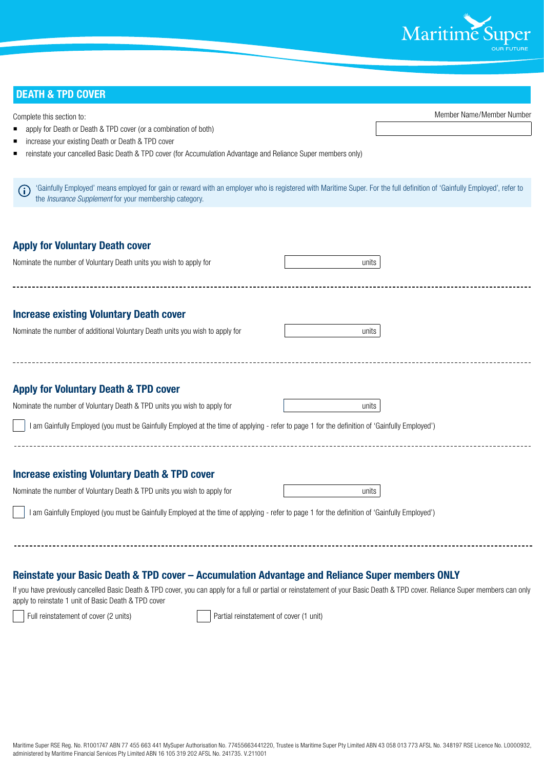

Member Name/Member Number

# **DEATH & TPD COVER**

Complete this section to:

- apply for Death or Death & TPD cover (or a combination of both)
- increase your existing Death or Death & TPD cover
- reinstate your cancelled Basic Death & TPD cover (for Accumulation Advantage and Reliance Super members only)

'Gainfully Employed' means employed for gain or reward with an employer who is registered with Maritime Super. For the full definition of 'Gainfully Employed', refer to O the *Insurance Supplement* for your membership category.

# **Apply for Voluntary Death cover** Nominate the number of Voluntary Death units you wish to apply for the units units **Increase existing Voluntary Death & TPD cover** Nominate the number of Voluntary Death & TPD units you wish to apply for the state of the state of the units volunts **Apply for Voluntary Death & TPD cover** Nominate the number of Voluntary Death & TPD units you wish to apply for the state of the state of units volunts **Increase existing Voluntary Death cover** Nominate the number of additional Voluntary Death units you wish to apply for **units** units I am Gainfully Employed (you must be Gainfully Employed at the time of applying - refer to page 1 for the definition of 'Gainfully Employed') I am Gainfully Employed (you must be Gainfully Employed at the time of applying - refer to page 1 for the definition of 'Gainfully Employed')

# **Reinstate your Basic Death & TPD cover – Accumulation Advantage and Reliance Super members ONLY**

If you have previously cancelled Basic Death & TPD cover, you can apply for a full or partial or reinstatement of your Basic Death & TPD cover. Reliance Super members can only apply to reinstate 1 unit of Basic Death & TPD cover

Full reinstatement of cover (2 units) Full reinstatement of cover (1 unit)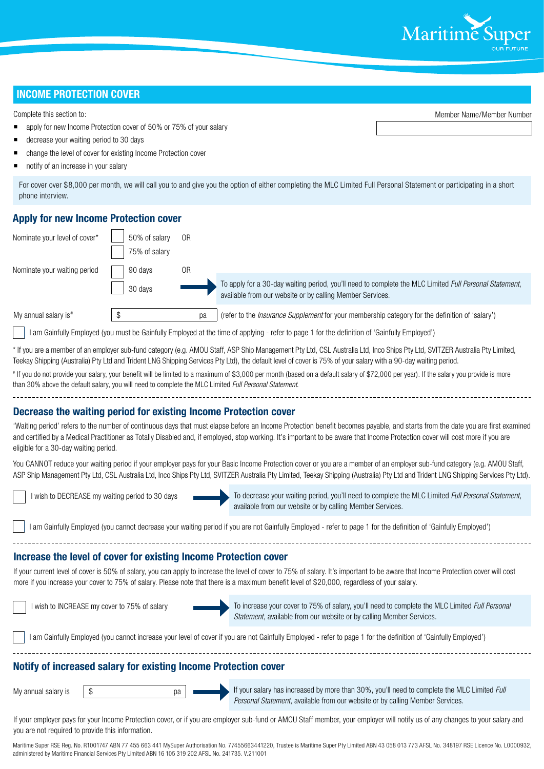

# **INCOME PROTECTION COVER**

decrease your waiting period to 30 days

Complete this section to:

Member Name/Member Number

change the level of cover for existing Income Protection cover

apply for new Income Protection cover of 50% or 75% of your salary

notify of an increase in your salary

For cover over \$8,000 per month, we will call you to and give you the option of either completing the MLC Limited Full Personal Statement or participating in a short phone interview.

# **Apply for new Income Protection cover**



\* If you are a member of an employer sub-fund category (e.g. AMOU Staff, ASP Ship Management Pty Ltd, CSL Australia Ltd, Inco Ships Pty Ltd, SVITZER Australia Pty Limited, Teekay Shipping (Australia) Pty Ltd and Trident LNG Shipping Services Pty Ltd), the default level of cover is 75% of your salary with a 90-day waiting period.

# If you do not provide your salary, your benefit will be limited to a maximum of \$3,000 per month (based on a default salary of \$72,000 per year). If the salary you provide is more than 30% above the default salary, you will need to complete the MLC Limited *Full Personal Statement*.

# **Decrease the waiting period for existing Income Protection cover**

'Waiting period' refers to the number of continuous days that must elapse before an Income Protection benefit becomes payable, and starts from the date you are first examined and certified by a Medical Practitioner as Totally Disabled and, if employed, stop working. It's important to be aware that Income Protection cover will cost more if you are eligible for a 30-day waiting period.

You CANNOT reduce your waiting period if your employer pays for your Basic Income Protection cover or you are a member of an employer sub-fund category (e.g. AMOU Staff, ASP Ship Management Pty Ltd, CSL Australia Ltd, Inco Ships Pty Ltd, SVITZER Australia Pty Limited, Teekay Shipping (Australia) Pty Ltd and Trident LNG Shipping Services Pty Ltd).



To decrease your waiting period, you'll need to complete the MLC Limited *Full Personal Statement*, available from our website or by calling Member Services.

I am Gainfully Employed (you cannot decrease your waiting period if you are not Gainfully Employed - refer to page 1 for the definition of 'Gainfully Employed')

------------------------------

# **Increase the level of cover for existing Income Protection cover**

If your current level of cover is 50% of salary, you can apply to increase the level of cover to 75% of salary. It's important to be aware that Income Protection cover will cost more if you increase your cover to 75% of salary. Please note that there is a maximum benefit level of \$20,000, regardless of your salary.

I wish to INCREASE my cover to 75% of salary

To increase your cover to 75% of salary, you'll need to complete the MLC Limited *Full Personal Statement*, available from our website or by calling Member Services.

I am Gainfully Employed (you cannot increase your level of cover if you are not Gainfully Employed - refer to page 1 for the definition of 'Gainfully Employed')

# **Notify of increased salary for existing Income Protection cover**

My annual salary is  $\frac{1}{3}$   $\frac{1}{3}$  pa

If your salary has increased by more than 30%, you'll need to complete the MLC Limited *Full Personal Statement*, available from our website or by calling Member Services.

If your employer pays for your Income Protection cover, or if you are employer sub-fund or AMOU Staff member, your employer will notify us of any changes to your salary and you are not required to provide this information.

Maritime Super RSE Reg. No. R1001747 ABN 77 455 663 441 MySuper Authorisation No. 77455663441220, Trustee is Maritime Super Pty Limited ABN 43 058 013 773 AFSL No. 348197 RSE Licence No. L0000932, administered by Maritime Financial Services Pty Limited ABN 16 105 319 202 AFSL No. 241735. V.211001